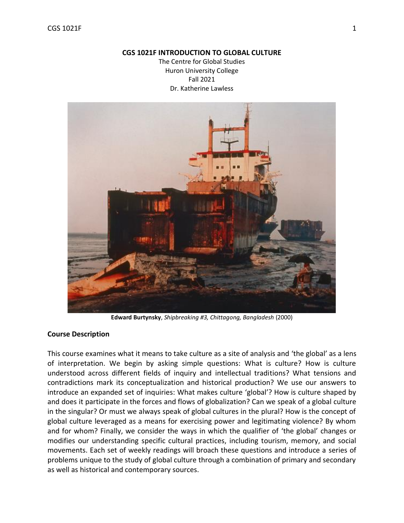#### **CGS 1021F INTRODUCTION TO GLOBAL CULTURE**

The Centre for Global Studies Huron University College Fall 2021 Dr. Katherine Lawless



**Edward Burtynsky**, *Shipbreaking #3, Chittagong, Bangladesh* (2000)

## **Course Description**

This course examines what it means to take culture as a site of analysis and 'the global' as a lens of interpretation. We begin by asking simple questions: What is culture? How is culture understood across different fields of inquiry and intellectual traditions? What tensions and contradictions mark its conceptualization and historical production? We use our answers to introduce an expanded set of inquiries: What makes culture 'global'? How is culture shaped by and does it participate in the forces and flows of globalization? Can we speak of a global culture in the singular? Or must we always speak of global cultures in the plural? How is the concept of global culture leveraged as a means for exercising power and legitimating violence? By whom and for whom? Finally, we consider the ways in which the qualifier of 'the global' changes or modifies our understanding specific cultural practices, including tourism, memory, and social movements. Each set of weekly readings will broach these questions and introduce a series of problems unique to the study of global culture through a combination of primary and secondary as well as historical and contemporary sources.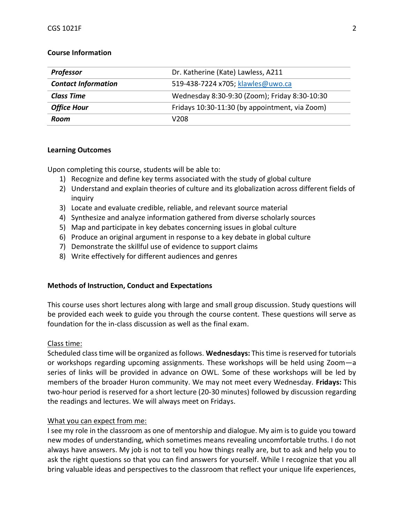## **Course Information**

| Professor                  | Dr. Katherine (Kate) Lawless, A211             |  |
|----------------------------|------------------------------------------------|--|
| <b>Contact Information</b> | 519-438-7224 x705; klawles@uwo.ca              |  |
| <b>Class Time</b>          | Wednesday 8:30-9:30 (Zoom); Friday 8:30-10:30  |  |
| <b>Office Hour</b>         | Fridays 10:30-11:30 (by appointment, via Zoom) |  |
| Room                       | V208                                           |  |

## **Learning Outcomes**

Upon completing this course, students will be able to:

- 1) Recognize and define key terms associated with the study of global culture
- 2) Understand and explain theories of culture and its globalization across different fields of inquiry
- 3) Locate and evaluate credible, reliable, and relevant source material
- 4) Synthesize and analyze information gathered from diverse scholarly sources
- 5) Map and participate in key debates concerning issues in global culture
- 6) Produce an original argument in response to a key debate in global culture
- 7) Demonstrate the skillful use of evidence to support claims
- 8) Write effectively for different audiences and genres

## **Methods of Instruction, Conduct and Expectations**

This course uses short lectures along with large and small group discussion. Study questions will be provided each week to guide you through the course content. These questions will serve as foundation for the in-class discussion as well as the final exam.

## Class time:

Scheduled class time will be organized as follows. **Wednesdays:** This time is reserved for tutorials or workshops regarding upcoming assignments. These workshops will be held using Zoom—a series of links will be provided in advance on OWL. Some of these workshops will be led by members of the broader Huron community. We may not meet every Wednesday. **Fridays:** This two-hour period is reserved for a short lecture (20-30 minutes) followed by discussion regarding the readings and lectures. We will always meet on Fridays.

# What you can expect from me:

I see my role in the classroom as one of mentorship and dialogue. My aim is to guide you toward new modes of understanding, which sometimes means revealing uncomfortable truths. I do not always have answers. My job is not to tell you how things really are, but to ask and help you to ask the right questions so that you can find answers for yourself. While I recognize that you all bring valuable ideas and perspectives to the classroom that reflect your unique life experiences,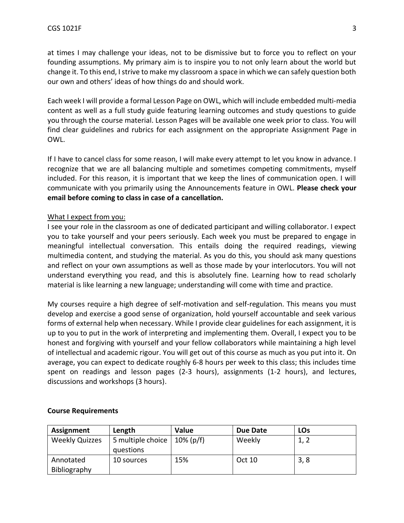at times I may challenge your ideas, not to be dismissive but to force you to reflect on your founding assumptions. My primary aim is to inspire you to not only learn about the world but change it. To this end, I strive to make my classroom a space in which we can safely question both our own and others' ideas of how things do and should work.

Each week I will provide a formal Lesson Page on OWL, which will include embedded multi-media content as well as a full study guide featuring learning outcomes and study questions to guide you through the course material. Lesson Pages will be available one week prior to class. You will find clear guidelines and rubrics for each assignment on the appropriate Assignment Page in OWL.

If I have to cancel class for some reason, I will make every attempt to let you know in advance. I recognize that we are all balancing multiple and sometimes competing commitments, myself included. For this reason, it is important that we keep the lines of communication open. I will communicate with you primarily using the Announcements feature in OWL. **Please check your email before coming to class in case of a cancellation.**

# What I expect from you:

I see your role in the classroom as one of dedicated participant and willing collaborator. I expect you to take yourself and your peers seriously. Each week you must be prepared to engage in meaningful intellectual conversation. This entails doing the required readings, viewing multimedia content, and studying the material. As you do this, you should ask many questions and reflect on your own assumptions as well as those made by your interlocutors. You will not understand everything you read, and this is absolutely fine. Learning how to read scholarly material is like learning a new language; understanding will come with time and practice.

My courses require a high degree of self-motivation and self-regulation. This means you must develop and exercise a good sense of organization, hold yourself accountable and seek various forms of external help when necessary. While I provide clear guidelines for each assignment, it is up to you to put in the work of interpreting and implementing them. Overall, I expect you to be honest and forgiving with yourself and your fellow collaborators while maintaining a high level of intellectual and academic rigour. You will get out of this course as much as you put into it. On average, you can expect to dedicate roughly 6-8 hours per week to this class; this includes time spent on readings and lesson pages (2-3 hours), assignments (1-2 hours), and lectures, discussions and workshops (3 hours).

| Assignment            | Length            | <b>Value</b> | Due Date | LOs  |
|-----------------------|-------------------|--------------|----------|------|
| <b>Weekly Quizzes</b> | 5 multiple choice | $10\%$ (p/f) | Weekly   | 1, 2 |
|                       | questions         |              |          |      |
| Annotated             | 10 sources        | 15%          | Oct 10   | 3, 8 |
| Bibliography          |                   |              |          |      |

## **Course Requirements**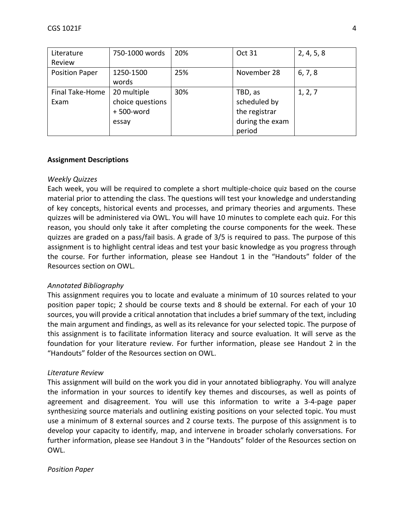| Literature            | 750-1000 words   | 20% | Oct 31          | 2, 4, 5, 8 |
|-----------------------|------------------|-----|-----------------|------------|
| Review                |                  |     |                 |            |
| <b>Position Paper</b> | 1250-1500        | 25% | November 28     | 6, 7, 8    |
|                       | words            |     |                 |            |
| Final Take-Home       | 20 multiple      | 30% | TBD, as         | 1, 2, 7    |
| Exam                  | choice questions |     | scheduled by    |            |
|                       | +500-word        |     | the registrar   |            |
|                       | essay            |     | during the exam |            |
|                       |                  |     | period          |            |

# **Assignment Descriptions**

# *Weekly Quizzes*

Each week, you will be required to complete a short multiple-choice quiz based on the course material prior to attending the class. The questions will test your knowledge and understanding of key concepts, historical events and processes, and primary theories and arguments. These quizzes will be administered via OWL. You will have 10 minutes to complete each quiz. For this reason, you should only take it after completing the course components for the week. These quizzes are graded on a pass/fail basis. A grade of 3/5 is required to pass. The purpose of this assignment is to highlight central ideas and test your basic knowledge as you progress through the course. For further information, please see Handout 1 in the "Handouts" folder of the Resources section on OWL.

# *Annotated Bibliography*

This assignment requires you to locate and evaluate a minimum of 10 sources related to your position paper topic; 2 should be course texts and 8 should be external. For each of your 10 sources, you will provide a critical annotation that includes a brief summary of the text, including the main argument and findings, as well as its relevance for your selected topic. The purpose of this assignment is to facilitate information literacy and source evaluation. It will serve as the foundation for your literature review. For further information, please see Handout 2 in the "Handouts" folder of the Resources section on OWL.

## *Literature Review*

This assignment will build on the work you did in your annotated bibliography. You will analyze the information in your sources to identify key themes and discourses, as well as points of agreement and disagreement. You will use this information to write a 3-4-page paper synthesizing source materials and outlining existing positions on your selected topic. You must use a minimum of 8 external sources and 2 course texts. The purpose of this assignment is to develop your capacity to identify, map, and intervene in broader scholarly conversations. For further information, please see Handout 3 in the "Handouts" folder of the Resources section on OWL.

## *Position Paper*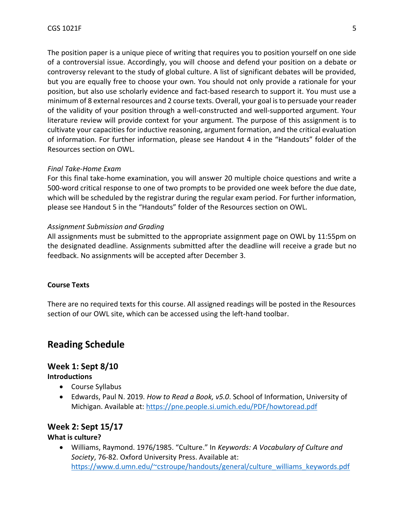The position paper is a unique piece of writing that requires you to position yourself on one side of a controversial issue. Accordingly, you will choose and defend your position on a debate or controversy relevant to the study of global culture. A list of significant debates will be provided, but you are equally free to choose your own. You should not only provide a rationale for your position, but also use scholarly evidence and fact-based research to support it. You must use a minimum of 8 external resources and 2 course texts. Overall, your goal is to persuade your reader of the validity of your position through a well-constructed and well-supported argument. Your literature review will provide context for your argument. The purpose of this assignment is to cultivate your capacities for inductive reasoning, argument formation, and the critical evaluation of information. For further information, please see Handout 4 in the "Handouts" folder of the Resources section on OWL.

## *Final Take-Home Exam*

For this final take-home examination, you will answer 20 multiple choice questions and write a 500-word critical response to one of two prompts to be provided one week before the due date, which will be scheduled by the registrar during the regular exam period. For further information, please see Handout 5 in the "Handouts" folder of the Resources section on OWL.

### *Assignment Submission and Grading*

All assignments must be submitted to the appropriate assignment page on OWL by 11:55pm on the designated deadline. Assignments submitted after the deadline will receive a grade but no feedback. No assignments will be accepted after December 3.

#### **Course Texts**

There are no required texts for this course. All assigned readings will be posted in the Resources section of our OWL site, which can be accessed using the left-hand toolbar.

# **Reading Schedule**

# **Week 1: Sept 8/10**

#### **Introductions**

- Course Syllabus
- Edwards, Paul N. 2019. *How to Read a Book, v5.0*. School of Information, University of Michigan. Available at:<https://pne.people.si.umich.edu/PDF/howtoread.pdf>

## **Week 2: Sept 15/17**

## **What is culture?**

• Williams, Raymond. 1976/1985. "Culture." In *Keywords: A Vocabulary of Culture and Society*, 76-82. Oxford University Press. Available at: [https://www.d.umn.edu/~cstroupe/handouts/general/culture\\_williams\\_keywords.pdf](https://www.d.umn.edu/~cstroupe/handouts/general/culture_williams_keywords.pdf)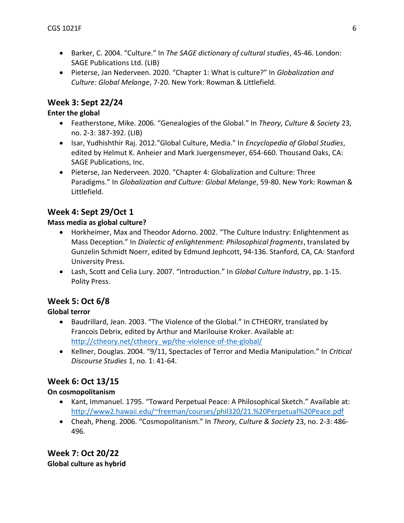- Barker, C. 2004. "Culture." In *The SAGE dictionary of cultural studies*, 45-46. London: SAGE Publications Ltd. (LIB)
- Pieterse, Jan Nederveen. 2020. "Chapter 1: What is culture?" In *Globalization and Culture: Global Melange*, 7-20. New York: Rowman & Littlefield.

# **Week 3: Sept 22/24**

# **Enter the global**

- Featherstone, Mike. 2006. "Genealogies of the Global." In *Theory, Culture & Society* 23, no. 2-3: 387-392. (LIB)
- Isar, Yudhishthir Raj. 2012."Global Culture, Media." In *Encyclopedia of Global Studies*, edited by Helmut K. Anheier and Mark Juergensmeyer, 654-660. Thousand Oaks, CA: SAGE Publications, Inc.
- Pieterse, Jan Nederveen. 2020. "Chapter 4: Globalization and Culture: Three Paradigms." In *Globalization and Culture: Global Melange*, 59-80. New York: Rowman & Littlefield.

# **Week 4: Sept 29/Oct 1**

# **Mass media as global culture?**

- Horkheimer, Max and Theodor Adorno. 2002. "The Culture Industry: Enlightenment as Mass Deception." In *Dialectic of enlightenment: Philosophical fragments*, translated by Gunzelin Schmidt Noerr, edited by Edmund Jephcott, 94-136. Stanford, CA, CA: Stanford University Press.
- Lash, Scott and Celia Lury. 2007. "Introduction." In *Global Culture Industry*, pp. 1-15. Polity Press.

# **Week 5: Oct 6/8**

# **Global terror**

- Baudrillard, Jean. 2003. "The Violence of the Global." In CTHEORY, translated by Francois Debrix, edited by Arthur and Marilouise Kroker. Available at: [http://ctheory.net/ctheory\\_wp/the-violence-of-the-global/](http://ctheory.net/ctheory_wp/the-violence-of-the-global/)
- Kellner, Douglas. 2004. "9/11, Spectacles of Terror and Media Manipulation." In *Critical Discourse Studies* 1, no. 1: 41-64.

# **Week 6: Oct 13/15**

# **On cosmopolitanism**

- Kant, Immanuel. 1795. "Toward Perpetual Peace: A Philosophical Sketch." Available at: <http://www2.hawaii.edu/~freeman/courses/phil320/21.%20Perpetual%20Peace.pdf>
- Cheah, Pheng. 2006. "Cosmopolitanism." In *Theory, Culture & Society* 23, no. 2-3: 486- 496.

**Week 7: Oct 20/22 Global culture as hybrid**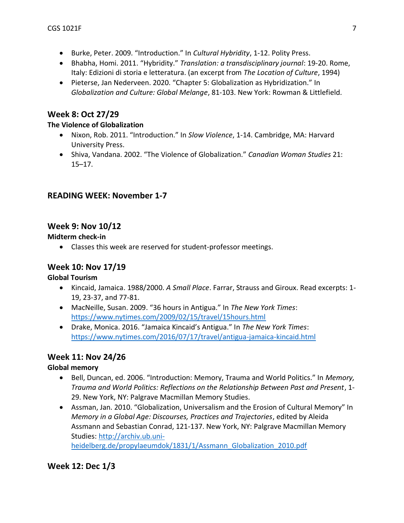- Burke, Peter. 2009. "Introduction." In *Cultural Hybridity*, 1-12. Polity Press.
- Bhabha, Homi. 2011. "Hybridity." *Translation: a transdisciplinary journal*: 19-20. Rome, Italy: Edizioni di storia e letteratura. (an excerpt from *The Location of Culture*, 1994)
- Pieterse, Jan Nederveen. 2020. "Chapter 5: Globalization as Hybridization." In *Globalization and Culture: Global Melange*, 81-103. New York: Rowman & Littlefield.

# **Week 8: Oct 27/29**

# **The Violence of Globalization**

- Nixon, Rob. 2011. "Introduction." In *Slow Violence*, 1-14. Cambridge, MA: Harvard University Press.
- Shiva, Vandana. 2002. "The Violence of Globalization." *Canadian Woman Studies* 21: 15–17.

# **READING WEEK: November 1-7**

# **Week 9: Nov 10/12**

**Midterm check-in**

• Classes this week are reserved for student-professor meetings.

# **Week 10: Nov 17/19**

# **Global Tourism**

- Kincaid, Jamaica. 1988/2000. *A Small Place*. Farrar, Strauss and Giroux. Read excerpts: 1- 19, 23-37, and 77-81.
- MacNeille, Susan. 2009. "36 hours in Antigua." In *The New York Times*: <https://www.nytimes.com/2009/02/15/travel/15hours.html>
- Drake, Monica. 2016. "Jamaica Kincaid's Antigua." In *The New York Times*: <https://www.nytimes.com/2016/07/17/travel/antigua-jamaica-kincaid.html>

# **Week 11: Nov 24/26**

# **Global memory**

- Bell, Duncan, ed. 2006. "Introduction: Memory, Trauma and World Politics." In *Memory, Trauma and World Politics: Reflections on the Relationship Between Past and Present*, 1- 29. New York, NY: Palgrave Macmillan Memory Studies.
- Assman, Jan. 2010. "Globalization, Universalism and the Erosion of Cultural Memory" In *Memory in a Global Age: Discourses, Practices and Trajectories*, edited by Aleida Assmann and Sebastian Conrad, 121-137. New York, NY: Palgrave Macmillan Memory Studies: [http://archiv.ub.uni](http://archiv.ub.uni-heidelberg.de/propylaeumdok/1831/1/Assmann_Globalization_2010.pdf)[heidelberg.de/propylaeumdok/1831/1/Assmann\\_Globalization\\_2010.pdf](http://archiv.ub.uni-heidelberg.de/propylaeumdok/1831/1/Assmann_Globalization_2010.pdf)

# **Week 12: Dec 1/3**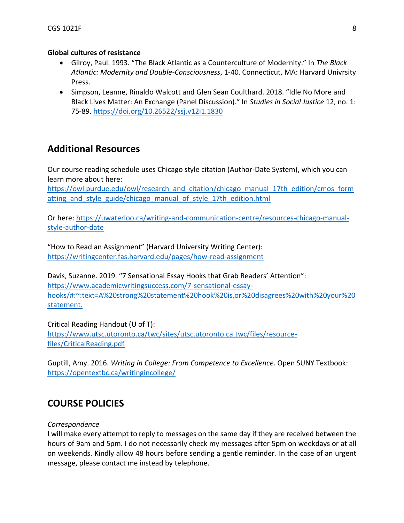# **Global cultures of resistance**

- Gilroy, Paul. 1993. "The Black Atlantic as a Counterculture of Modernity." In *The Black Atlantic: Modernity and Double-Consciousness*, 1-40. Connecticut, MA: Harvard Univrsity Press.
- Simpson, Leanne, Rinaldo Walcott and Glen Sean Coulthard. 2018. "Idle No More and Black Lives Matter: An Exchange (Panel Discussion)." In *Studies in Social Justice* 12, no. 1: 75-89.<https://doi.org/10.26522/ssj.v12i1.1830>

# **Additional Resources**

Our course reading schedule uses Chicago style citation (Author-Date System), which you can learn more about here:

[https://owl.purdue.edu/owl/research\\_and\\_citation/chicago\\_manual\\_17th\\_edition/cmos\\_form](https://owl.purdue.edu/owl/research_and_citation/chicago_manual_17th_edition/cmos_formatting_and_style_guide/chicago_manual_of_style_17th_edition.html) atting and style guide/chicago manual of style 17th edition.html

Or here: [https://uwaterloo.ca/writing-and-communication-centre/resources-chicago-manual](https://uwaterloo.ca/writing-and-communication-centre/resources-chicago-manual-style-author-date)[style-author-date](https://uwaterloo.ca/writing-and-communication-centre/resources-chicago-manual-style-author-date)

"How to Read an Assignment" (Harvard University Writing Center): <https://writingcenter.fas.harvard.edu/pages/how-read-assignment>

Davis, Suzanne. 2019. "7 Sensational Essay Hooks that Grab Readers' Attention": [https://www.academicwritingsuccess.com/7-sensational-essay](https://www.academicwritingsuccess.com/7-sensational-essay-hooks/#:~:text=A%20strong%20statement%20hook%20is,or%20disagrees%20with%20your%20statement.)[hooks/#:~:text=A%20strong%20statement%20hook%20is,or%20disagrees%20with%20your%20](https://www.academicwritingsuccess.com/7-sensational-essay-hooks/#:~:text=A%20strong%20statement%20hook%20is,or%20disagrees%20with%20your%20statement.) [statement.](https://www.academicwritingsuccess.com/7-sensational-essay-hooks/#:~:text=A%20strong%20statement%20hook%20is,or%20disagrees%20with%20your%20statement.)

Critical Reading Handout (U of T): [https://www.utsc.utoronto.ca/twc/sites/utsc.utoronto.ca.twc/files/resource](https://www.utsc.utoronto.ca/twc/sites/utsc.utoronto.ca.twc/files/resource-files/CriticalReading.pdf)[files/CriticalReading.pdf](https://www.utsc.utoronto.ca/twc/sites/utsc.utoronto.ca.twc/files/resource-files/CriticalReading.pdf)

Guptill, Amy. 2016. *Writing in College: From Competence to Excellence*. Open SUNY Textbook: <https://opentextbc.ca/writingincollege/>

# **COURSE POLICIES**

# *Correspondence*

I will make every attempt to reply to messages on the same day if they are received between the hours of 9am and 5pm. I do not necessarily check my messages after 5pm on weekdays or at all on weekends. Kindly allow 48 hours before sending a gentle reminder. In the case of an urgent message, please contact me instead by telephone.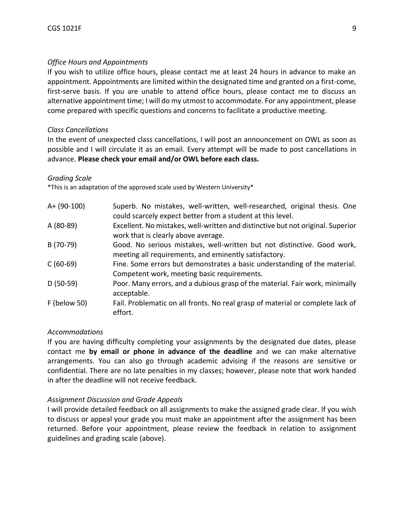# *Office Hours and Appointments*

If you wish to utilize office hours, please contact me at least 24 hours in advance to make an appointment. Appointments are limited within the designated time and granted on a first-come, first-serve basis. If you are unable to attend office hours, please contact me to discuss an alternative appointment time; I will do my utmost to accommodate. For any appointment, please come prepared with specific questions and concerns to facilitate a productive meeting.

# *Class Cancellations*

In the event of unexpected class cancellations, I will post an announcement on OWL as soon as possible and I will circulate it as an email. Every attempt will be made to post cancellations in advance. **Please check your email and/or OWL before each class.**

## *Grading Scale*

\*This is an adaptation of the approved scale used by Western University\*

| A+ (90-100)         | Superb. No mistakes, well-written, well-researched, original thesis. One<br>could scarcely expect better from a student at this level. |
|---------------------|----------------------------------------------------------------------------------------------------------------------------------------|
| A (80-89)           | Excellent. No mistakes, well-written and distinctive but not original. Superior<br>work that is clearly above average.                 |
| B (70-79)           | Good. No serious mistakes, well-written but not distinctive. Good work,<br>meeting all requirements, and eminently satisfactory.       |
| $C(60-69)$          | Fine. Some errors but demonstrates a basic understanding of the material.<br>Competent work, meeting basic requirements.               |
| $D(50-59)$          | Poor. Many errors, and a dubious grasp of the material. Fair work, minimally<br>acceptable.                                            |
| <b>F</b> (below 50) | Fail. Problematic on all fronts. No real grasp of material or complete lack of<br>effort.                                              |

## *Accommodations*

If you are having difficulty completing your assignments by the designated due dates, please contact me **by email or phone in advance of the deadline** and we can make alternative arrangements. You can also go through academic advising if the reasons are sensitive or confidential. There are no late penalties in my classes; however, please note that work handed in after the deadline will not receive feedback.

# *Assignment Discussion and Grade Appeals*

I will provide detailed feedback on all assignments to make the assigned grade clear. If you wish to discuss or appeal your grade you must make an appointment after the assignment has been returned. Before your appointment, please review the feedback in relation to assignment guidelines and grading scale (above).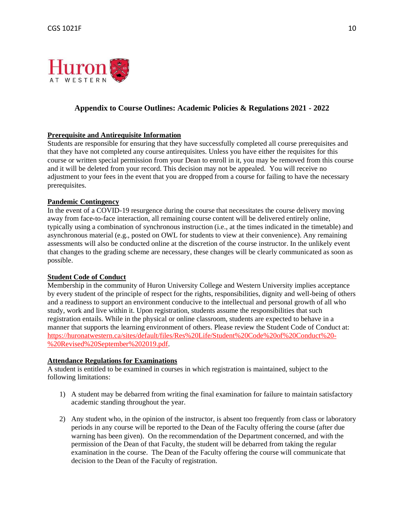

# **Appendix to Course Outlines: Academic Policies & Regulations 2021 - 2022**

#### **Prerequisite and Antirequisite Information**

Students are responsible for ensuring that they have successfully completed all course prerequisites and that they have not completed any course antirequisites. Unless you have either the requisites for this course or written special permission from your Dean to enroll in it, you may be removed from this course and it will be deleted from your record. This decision may not be appealed. You will receive no adjustment to your fees in the event that you are dropped from a course for failing to have the necessary prerequisites.

#### **Pandemic Contingency**

In the event of a COVID-19 resurgence during the course that necessitates the course delivery moving away from face-to-face interaction, all remaining course content will be delivered entirely online, typically using a combination of synchronous instruction (i.e., at the times indicated in the timetable) and asynchronous material (e.g., posted on OWL for students to view at their convenience). Any remaining assessments will also be conducted online at the discretion of the course instructor. In the unlikely event that changes to the grading scheme are necessary, these changes will be clearly communicated as soon as possible.

#### **Student Code of Conduct**

Membership in the community of Huron University College and Western University implies acceptance by every student of the principle of respect for the rights, responsibilities, dignity and well-being of others and a readiness to support an environment conducive to the intellectual and personal growth of all who study, work and live within it. Upon registration, students assume the responsibilities that such registration entails. While in the physical or online classroom, students are expected to behave in a manner that supports the learning environment of others. Please review the Student Code of Conduct at: [https://huronatwestern.ca/sites/default/files/Res%20Life/Student%20Code%20of%20Conduct%20-](https://huronatwestern.ca/sites/default/files/Res%20Life/Student%20Code%20of%20Conduct%20-%20Revised%20September%202019.pdf) [%20Revised%20September%202019.pdf.](https://huronatwestern.ca/sites/default/files/Res%20Life/Student%20Code%20of%20Conduct%20-%20Revised%20September%202019.pdf)

#### **Attendance Regulations for Examinations**

A student is entitled to be examined in courses in which registration is maintained, subject to the following limitations:

- 1) A student may be debarred from writing the final examination for failure to maintain satisfactory academic standing throughout the year.
- 2) Any student who, in the opinion of the instructor, is absent too frequently from class or laboratory periods in any course will be reported to the Dean of the Faculty offering the course (after due warning has been given). On the recommendation of the Department concerned, and with the permission of the Dean of that Faculty, the student will be debarred from taking the regular examination in the course. The Dean of the Faculty offering the course will communicate that decision to the Dean of the Faculty of registration.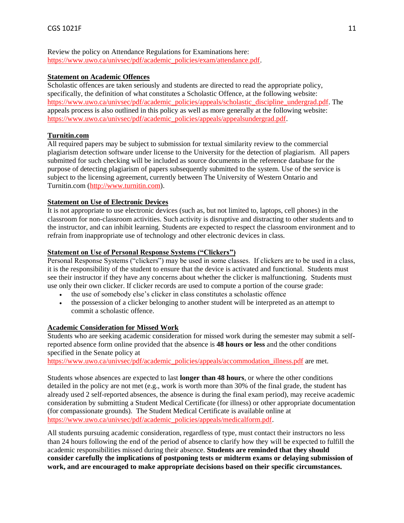## Review the policy on Attendance Regulations for Examinations here: [https://www.uwo.ca/univsec/pdf/academic\\_policies/exam/attendance.pdf.](https://www.uwo.ca/univsec/pdf/academic_policies/exam/attendance.pdf)

## **Statement on Academic Offences**

Scholastic offences are taken seriously and students are directed to read the appropriate policy, specifically, the definition of what constitutes a Scholastic Offence, at the following website: [https://www.uwo.ca/univsec/pdf/academic\\_policies/appeals/scholastic\\_discipline\\_undergrad.pdf.](https://www.uwo.ca/univsec/pdf/academic_policies/appeals/scholastic_discipline_undergrad.pdf) The appeals process is also outlined in this policy as well as more generally at the following website: [https://www.uwo.ca/univsec/pdf/academic\\_policies/appeals/appealsundergrad.pdf.](https://www.uwo.ca/univsec/pdf/academic_policies/appeals/appealsundergrad.pdf)

# **Turnitin.com**

All required papers may be subject to submission for textual similarity review to the commercial plagiarism detection software under license to the University for the detection of plagiarism. All papers submitted for such checking will be included as source documents in the reference database for the purpose of detecting plagiarism of papers subsequently submitted to the system. Use of the service is subject to the licensing agreement, currently between The University of Western Ontario and Turnitin.com [\(http://www.turnitin.com\)](http://www.turnitin.com/).

# **Statement on Use of Electronic Devices**

It is not appropriate to use electronic devices (such as, but not limited to, laptops, cell phones) in the classroom for non-classroom activities. Such activity is disruptive and distracting to other students and to the instructor, and can inhibit learning. Students are expected to respect the classroom environment and to refrain from inappropriate use of technology and other electronic devices in class.

# **Statement on Use of Personal Response Systems ("Clickers")**

Personal Response Systems ("clickers") may be used in some classes. If clickers are to be used in a class, it is the responsibility of the student to ensure that the device is activated and functional. Students must see their instructor if they have any concerns about whether the clicker is malfunctioning. Students must use only their own clicker. If clicker records are used to compute a portion of the course grade:

- the use of somebody else's clicker in class constitutes a scholastic offence
- the possession of a clicker belonging to another student will be interpreted as an attempt to commit a scholastic offence.

## **Academic Consideration for Missed Work**

Students who are seeking academic consideration for missed work during the semester may submit a selfreported absence form online provided that the absence is **48 hours or less** and the other conditions specified in the Senate policy at

[https://www.uwo.ca/univsec/pdf/academic\\_policies/appeals/accommodation\\_illness.pdf](https://www.uwo.ca/univsec/pdf/academic_policies/appeals/accommodation_illness.pdf) are met.

Students whose absences are expected to last **longer than 48 hours**, or where the other conditions detailed in the policy are not met (e.g., work is worth more than 30% of the final grade, the student has already used 2 self-reported absences, the absence is during the final exam period), may receive academic consideration by submitting a Student Medical Certificate (for illness) or other appropriate documentation (for compassionate grounds). The Student Medical Certificate is available online at [https://www.uwo.ca/univsec/pdf/academic\\_policies/appeals/medicalform.pdf.](https://www.uwo.ca/univsec/pdf/academic_policies/appeals/medicalform.pdf)

All students pursuing academic consideration, regardless of type, must contact their instructors no less than 24 hours following the end of the period of absence to clarify how they will be expected to fulfill the academic responsibilities missed during their absence. **Students are reminded that they should consider carefully the implications of postponing tests or midterm exams or delaying submission of work, and are encouraged to make appropriate decisions based on their specific circumstances.**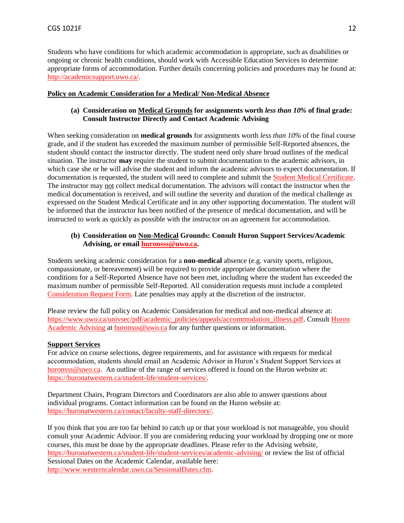Students who have conditions for which academic accommodation is appropriate, such as disabilities or ongoing or chronic health conditions, should work with Accessible Education Services to determine appropriate forms of accommodation. Further details concerning policies and procedures may be found at: [http://academicsupport.uwo.ca/.](http://academicsupport.uwo.ca/)

#### **Policy on Academic Consideration for a Medical/ Non-Medical Absence**

## **(a) Consideration on Medical Grounds for assignments worth** *less than 10%* **of final grade: Consult Instructor Directly and Contact Academic Advising**

When seeking consideration on **medical grounds** for assignments worth *less than 10%* of the final course grade, and if the student has exceeded the maximum number of permissible Self-Reported absences, the student should contact the instructor directly. The student need only share broad outlines of the medical situation. The instructor **may** require the student to submit documentation to the academic advisors, in which case she or he will advise the student and inform the academic advisors to expect documentation. If documentation is requested, the student will need to complete and submit the [Student Medical Certificate.](https://www.uwo.ca/univsec/pdf/academic_policies/appeals/medicalform_15JUN.pdf) The instructor may not collect medical documentation. The advisors will contact the instructor when the medical documentation is received, and will outline the severity and duration of the medical challenge as expressed on the Student Medical Certificate and in any other supporting documentation. The student will be informed that the instructor has been notified of the presence of medical documentation, and will be instructed to work as quickly as possible with the instructor on an agreement for accommodation.

## **(b) Consideration on Non-Medical Grounds: Consult Huron Support Services/Academic Advising, or email [huronsss@uwo.ca.](mailto:huronsss@uwo.ca)**

Students seeking academic consideration for a **non-medical** absence (e.g. varsity sports, religious, compassionate, or bereavement) will be required to provide appropriate documentation where the conditions for a Self-Reported Absence have not been met, including where the student has exceeded the maximum number of permissible Self-Reported. All consideration requests must include a completed [Consideration Request Form.](https://huronatwestern.ca/sites/default/files/Forms/Academic%20Consideration%20Request%20Form%202020.pdf) Late penalties may apply at the discretion of the instructor.

Please review the full policy on Academic Consideration for medical and non-medical absence at: [https://www.uwo.ca/univsec/pdf/academic\\_policies/appeals/accommodation\\_illness.pdf.](https://www.uwo.ca/univsec/pdf/academic_policies/appeals/accommodation_illness.pdf) Consult [Huron](https://huronatwestern.ca/student-life/student-services/academic-advising/)  [Academic Advising](https://huronatwestern.ca/student-life/student-services/academic-advising/) at [huronsss@uwo.ca](mailto:huronsss@uwo.ca) for any further questions or information.

## **Support Services**

For advice on course selections, degree requirements, and for assistance with requests for medical accommodation, students should email an Academic Advisor in Huron's Student Support Services at [huronsss@uwo.ca.](mailto:huronsss@uwo.ca) An outline of the range of services offered is found on the Huron website at: [https://huronatwestern.ca/student-life/student-services/.](https://huronatwestern.ca/student-life/student-services/)

Department Chairs, Program Directors and Coordinators are also able to answer questions about individual programs. Contact information can be found on the Huron website at: [https://huronatwestern.ca/contact/faculty-staff-directory/.](https://huronatwestern.ca/contact/faculty-staff-directory/)

If you think that you are too far behind to catch up or that your workload is not manageable, you should consult your Academic Advisor. If you are considering reducing your workload by dropping one or more courses, this must be done by the appropriate deadlines. Please refer to the Advising website, <https://huronatwestern.ca/student-life/student-services/academic-advising/> or review the list of official Sessional Dates on the Academic Calendar, available here: [http://www.westerncalendar.uwo.ca/SessionalDates.cfm.](http://www.westerncalendar.uwo.ca/SessionalDates.cfm)